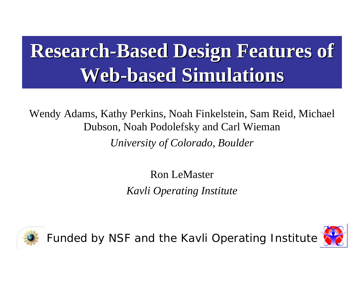# **Research-Based Design Features of Web-based Simulations based Simulations**

Wendy Adams, Kathy Perkins, Noah Finkelstein, Sam Reid, Michael Dubson, Noah Podolefsky and Carl Wieman *University of Colorado, Boulder*

> Ron LeMaster*Kavli Operating Institute*



Funded by NSF and the Kavli Operating Institute

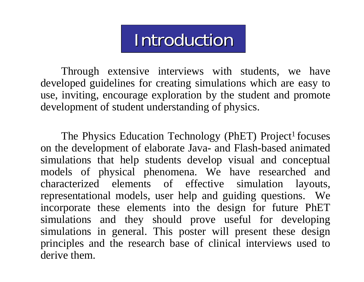## **Introduction**

Through extensive interviews with students, we have developed guidelines for creating simulations which are easy to use, inviting, encourage exploration by the student and promote development of student understanding of physics.

The Physics Education Technology (PhET) Project<sup>1</sup> focuses on the development of elaborate Java- and Flash-based animated simulations that help students develop visual and conceptual models of physical phenomena. We have researched and characterized elements of effective simulation layouts, representational models, user help and guiding questions. We incorporate these elements into the design for future PhET simulations and they should prove useful for developing simulations in general. This poster will present these design principles and the research base of clinical interviews used to derive them.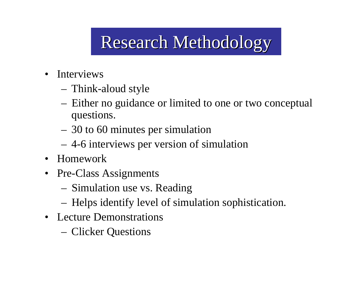# Research Methodology Research Methodology

- Interviews
	- Think-aloud style
	- Either no guidance or limited to one or two conceptual questions.
	- 30 to 60 minutes per simulation
	- 4-6 interviews per version of simulation
- Homework
- Pre-Class Assignments
	- Simulation use vs. Reading
	- Helps identify level of simulation sophistication.
- Lecture Demonstrations
	- Clicker Questions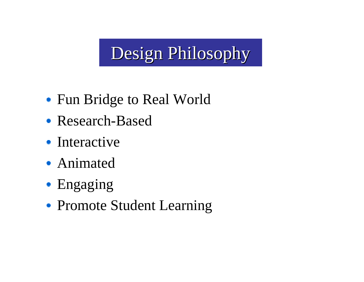# Design Philosophy

- Fun Bridge to Real World
- Research-Based
- Interactive
- Animated
- Engaging
- Promote Student Learning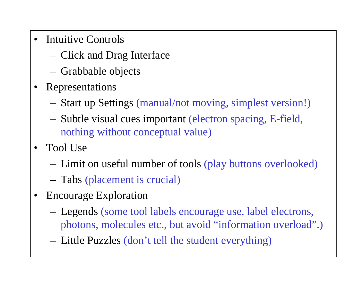- Intuitive Controls
	- Click and Drag Interface
	- Grabbable objects
- • Representations
	- Start up Settings (manual/not moving, simplest version!)
	- Subtle visual cues important (electron spacing, E-field, nothing without conceptual value)
- Tool Use
	- Limit on useful number of tools (play buttons overlooked)
	- Tabs (placement is crucial)
- $\bullet$  Encourage Exploration
	- Legends (some tool labels encourage use, label electrons, photons, molecules etc., but avoid "information overload".)
	- Little Puzzles (don't tell the student everything)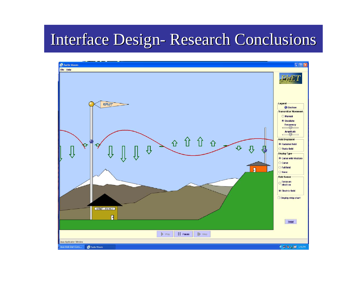#### **Interface Design** -- Research Conclusions

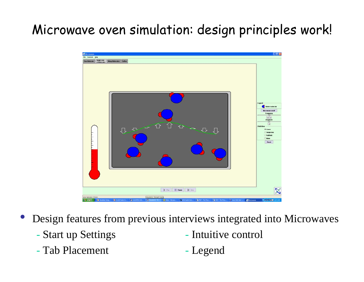### Microwave oven simulation: design principles work!



 $\bullet$ Design features from previous interviews integrated into Microwaves

Start up Settings

- Intuitive control
- Tab Placement Legend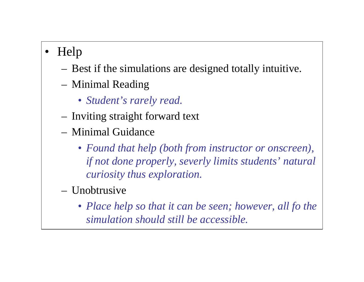#### •Help

- Best if the simulations are designed totally intuitive.
- Minimal Reading
	- *Student's rarely read.*
- Inviting straight forward text
- Minimal Guidance
	- *Found that help (both from instructor or onscreen), if not done properly, severly limits students' natural curiosity thus exploration.*
- Unobtrusive
	- *Place help so that it can be seen; however, all fo the simulation should still be accessible.*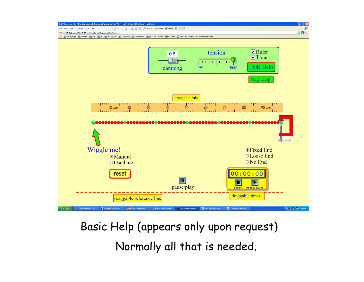

Basic Help (appears only upon request) Normally all that is needed.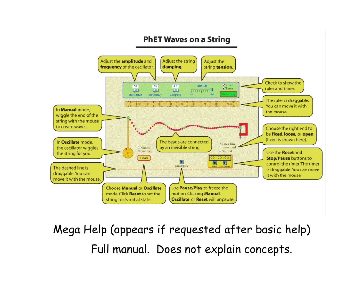#### **PhET Waves on a String**



Mega Help (appears if requested after basic help) Full manual. Does not explain concepts.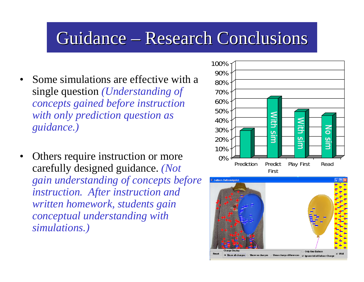## Guidance – Research Conclusions

- • Some simulations are effective with a single question *(Understanding of concepts gained before instruction with only prediction question as guidance.)*
- • Others require instruction or more carefully designed guidance. *(Not gain understanding of concepts before instruction. After instruction and written homework, students gain conceptual understanding with simulations.)*